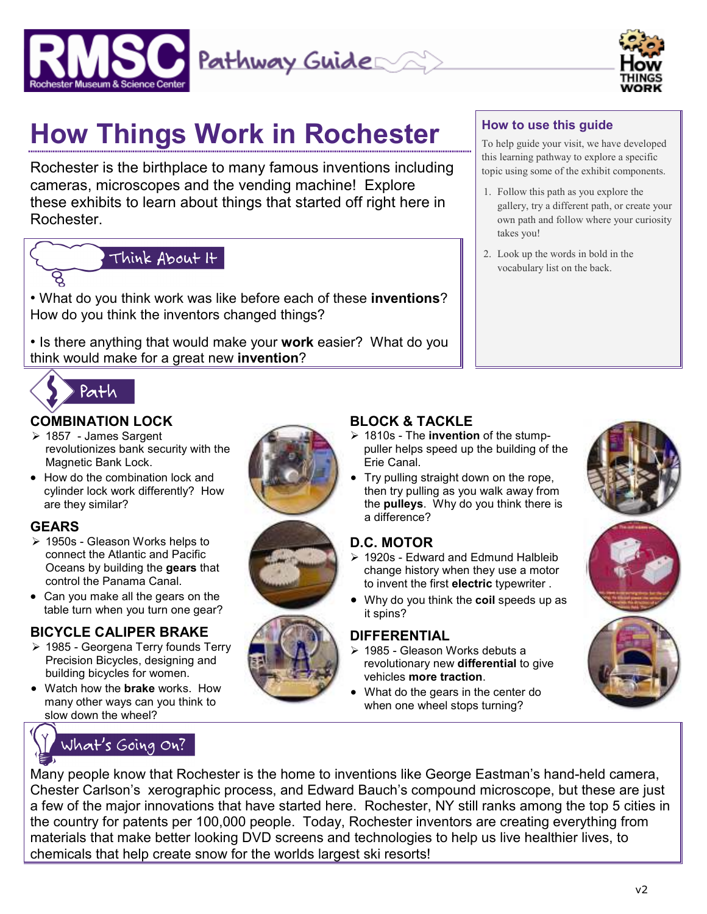



**How to use this guide** 

takes you!

To help guide your visit, we have developed this learning pathway to explore a specific topic using some of the exhibit components.

gallery, try a different path, or create your own path and follow where your curiosity

1. Follow this path as you explore the

2. Look up the words in bold in the vocabulary list on the back.

# **How Things Work in Rochester**

Rochester is the birthplace to many famous inventions including cameras, microscopes and the vending machine! Explore these exhibits to learn about things that started off right here in Rochester.

# Think About It

• What do you think work was like before each of these **inventions**? How do you think the inventors changed things?

• Is there anything that would make your **work** easier? What do you think would make for a great new **invention**?



#### **COMBINATION LOCK**

- $\geq 1857$  James Sargent revolutionizes bank security with the Magnetic Bank Lock.
- How do the combination lock and cylinder lock work differently? How are they similar?

### **GEARS**

- $\geq 1950$ s Gleason Works helps to connect the Atlantic and Pacific Oceans by building the **gears** that control the Panama Canal.
- Can you make all the gears on the table turn when you turn one gear?

#### **BICYCLE CALIPER BRAKE**

- 1985 Georgena Terry founds Terry Precision Bicycles, designing and building bicycles for women.
- Watch how the **brake** works. How many other ways can you think to slow down the wheel?









## **BLOCK & TACKLE**

- 1810s The **invention** of the stumppuller helps speed up the building of the Erie Canal.
- Try pulling straight down on the rope, then try pulling as you walk away from the **pulleys**. Why do you think there is a difference?

## **D.C. MOTOR**

- ▶ 1920s Edward and Edmund Halbleib change history when they use a motor to invent the first **electric** typewriter .
- Why do you think the **coil** speeds up as it spins?

#### **DIFFERENTIAL**

- 1985 Gleason Works debuts a revolutionary new **differential** to give vehicles **more traction**.
- What do the gears in the center do when one wheel stops turning?







Many people know that Rochester is the home to inventions like George Eastman's hand-held camera, Chester Carlson's xerographic process, and Edward Bauch's compound microscope, but these are just a few of the major innovations that have started here. Rochester, NY still ranks among the top 5 cities in the country for patents per 100,000 people. Today, Rochester inventors are creating everything from materials that make better looking DVD screens and technologies to help us live healthier lives, to chemicals that help create snow for the worlds largest ski resorts!